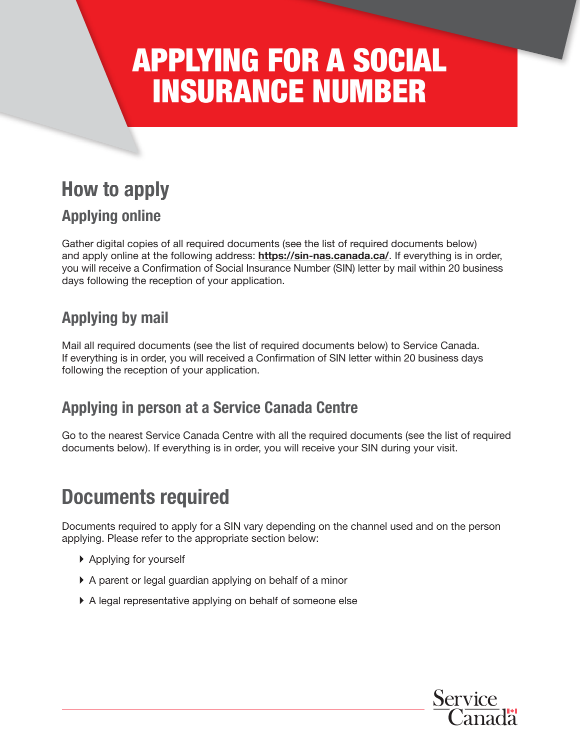# APPLYING FOR A SOCIAL INSURANCE NUMBER

# How to apply

# Applying online

Gather digital copies of all required documents (see the list of required documents below) and apply online at the following address: <https://sin-nas.canada.ca/>. If everything is in order, you will receive a Confirmation of Social Insurance Number (SIN) letter by mail within 20 business days following the reception of your application.

# Applying by mail

Mail all required documents (see the list of required documents below) to Service Canada. If everything is in order, you will received a Confirmation of SIN letter within 20 business days following the reception of your application.

# Applying in person at a Service Canada Centre

Go to the nearest Service Canada Centre with all the required documents (see the list of required documents below). If everything is in order, you will receive your SIN during your visit.

# Documents required

Documents required to apply for a SIN vary depending on the channel used and on the person applying. Please refer to the appropriate section below:

- ▶ Applying for yourself
- } A parent or legal guardian applying on behalf of a minor
- } A legal representative applying on behalf of someone else

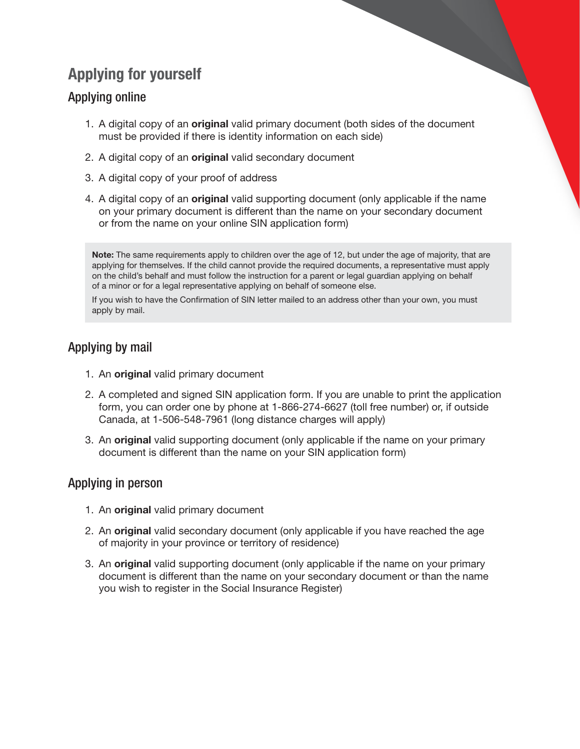# Applying for yourself

### Applying online

- 1. A digital copy of an **original** valid primary document (both sides of the document must be provided if there is identity information on each side)
- 2. A digital copy of an **original** valid secondary document
- 3. A digital copy of your proof of address
- 4. A digital copy of an **original** valid supporting document (only applicable if the name on your primary document is different than the name on your secondary document or from the name on your online SIN application form)

Note: The same requirements apply to children over the age of 12, but under the age of majority, that are applying for themselves. If the child cannot provide the required documents, a representative must apply on the child's behalf and must follow the instruction for a parent or legal guardian applying on behalf of a minor or for a legal representative applying on behalf of someone else.

If you wish to have the Confirmation of SIN letter mailed to an address other than your own, you must apply by mail.

### Applying by mail

- 1. An original valid primary document
- 2. A completed and signed SIN application form. If you are unable to print the application form, you can order one by phone at 1-866-274-6627 (toll free number) or, if outside Canada, at 1-506-548-7961 (long distance charges will apply)
- 3. An original valid supporting document (only applicable if the name on your primary document is different than the name on your SIN application form)

### Applying in person

- 1. An original valid primary document
- 2. An original valid secondary document (only applicable if you have reached the age of majority in your province or territory of residence)
- 3. An **original** valid supporting document (only applicable if the name on your primary document is different than the name on your secondary document or than the name you wish to register in the Social Insurance Register)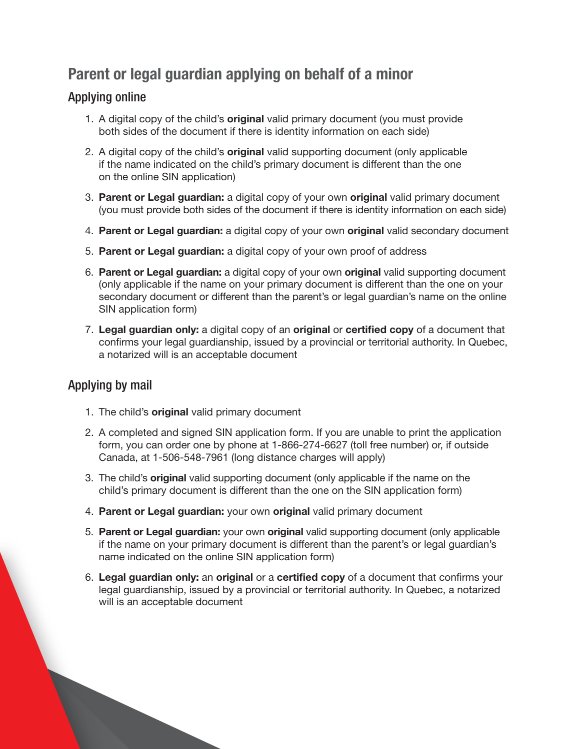# Parent or legal guardian applying on behalf of a minor

### Applying online

- 1. A digital copy of the child's **original** valid primary document (you must provide both sides of the document if there is identity information on each side)
- 2. A digital copy of the child's **original** valid supporting document (only applicable if the name indicated on the child's primary document is different than the one on the online SIN application)
- 3. Parent or Legal guardian: a digital copy of your own original valid primary document (you must provide both sides of the document if there is identity information on each side)
- 4. Parent or Legal guardian: a digital copy of your own original valid secondary document
- 5. Parent or Legal guardian: a digital copy of your own proof of address
- 6. Parent or Legal guardian: a digital copy of your own original valid supporting document (only applicable if the name on your primary document is different than the one on your secondary document or different than the parent's or legal guardian's name on the online SIN application form)
- 7. Legal guardian only: a digital copy of an original or certified copy of a document that confirms your legal guardianship, issued by a provincial or territorial authority. In Quebec, a notarized will is an acceptable document

### Applying by mail

- 1. The child's **original** valid primary document
- 2. A completed and signed SIN application form. If you are unable to print the application form, you can order one by phone at 1-866-274-6627 (toll free number) or, if outside Canada, at 1-506-548-7961 (long distance charges will apply)
- 3. The child's **original** valid supporting document (only applicable if the name on the child's primary document is different than the one on the SIN application form)
- 4. Parent or Legal guardian: your own original valid primary document
- 5. Parent or Legal guardian: your own original valid supporting document (only applicable if the name on your primary document is different than the parent's or legal guardian's name indicated on the online SIN application form)
- 6. Legal guardian only: an original or a certified copy of a document that confirms your legal guardianship, issued by a provincial or territorial authority. In Quebec, a notarized will is an acceptable document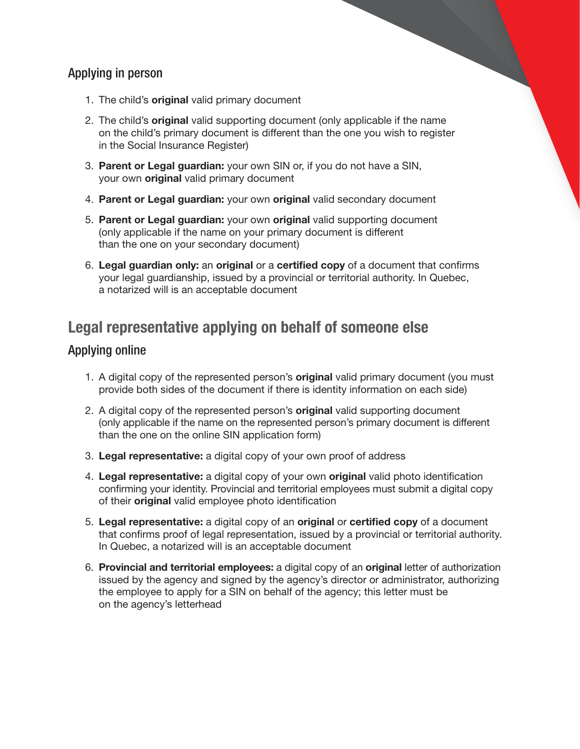### Applying in person

- 1. The child's **original** valid primary document
- 2. The child's **original** valid supporting document (only applicable if the name on the child's primary document is different than the one you wish to register in the Social Insurance Register)
- 3. Parent or Legal guardian: your own SIN or, if you do not have a SIN, your own **original** valid primary document
- 4. Parent or Legal guardian: your own original valid secondary document
- 5. Parent or Legal guardian: your own original valid supporting document (only applicable if the name on your primary document is different than the one on your secondary document)
- 6. Legal guardian only: an original or a certified copy of a document that confirms your legal guardianship, issued by a provincial or territorial authority. In Quebec, a notarized will is an acceptable document

### Legal representative applying on behalf of someone else

### Applying online

- 1. A digital copy of the represented person's **original** valid primary document (you must provide both sides of the document if there is identity information on each side)
- 2. A digital copy of the represented person's **original** valid supporting document (only applicable if the name on the represented person's primary document is different than the one on the online SIN application form)
- 3. Legal representative: a digital copy of your own proof of address
- 4. Legal representative: a digital copy of your own original valid photo identification confirming your identity. Provincial and territorial employees must submit a digital copy of their **original** valid employee photo identification
- 5. Legal representative: a digital copy of an original or certified copy of a document that confirms proof of legal representation, issued by a provincial or territorial authority. In Quebec, a notarized will is an acceptable document
- 6. Provincial and territorial employees: a digital copy of an original letter of authorization issued by the agency and signed by the agency's director or administrator, authorizing the employee to apply for a SIN on behalf of the agency; this letter must be on the agency's letterhead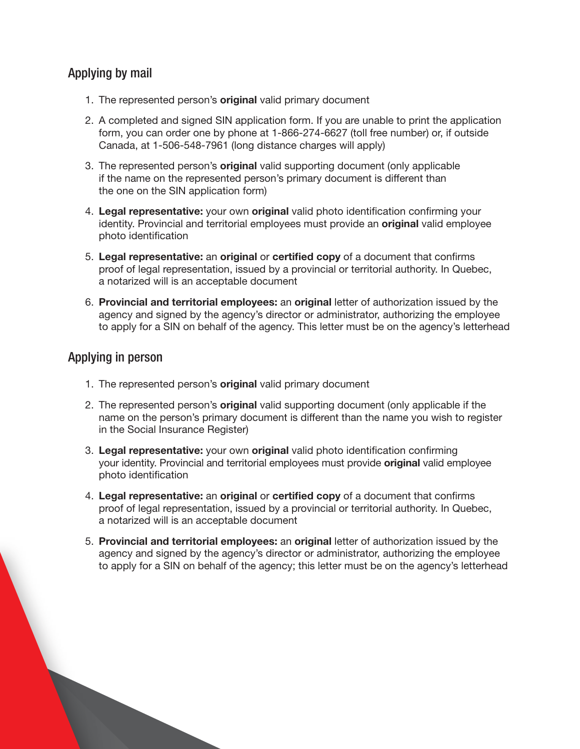### Applying by mail

- 1. The represented person's **original** valid primary document
- 2. A completed and signed SIN application form. If you are unable to print the application form, you can order one by phone at 1-866-274-6627 (toll free number) or, if outside Canada, at 1-506-548-7961 (long distance charges will apply)
- 3. The represented person's **original** valid supporting document (only applicable if the name on the represented person's primary document is different than the one on the SIN application form)
- 4. Legal representative: your own original valid photo identification confirming your identity. Provincial and territorial employees must provide an **original** valid employee photo identification
- 5. Legal representative: an original or certified copy of a document that confirms proof of legal representation, issued by a provincial or territorial authority. In Quebec, a notarized will is an acceptable document
- 6. Provincial and territorial employees: an original letter of authorization issued by the agency and signed by the agency's director or administrator, authorizing the employee to apply for a SIN on behalf of the agency. This letter must be on the agency's letterhead

### Applying in person

- 1. The represented person's **original** valid primary document
- 2. The represented person's **original** valid supporting document (only applicable if the name on the person's primary document is different than the name you wish to register in the Social Insurance Register)
- 3. Legal representative: your own original valid photo identification confirming your identity. Provincial and territorial employees must provide original valid employee photo identification
- 4. Legal representative: an original or certified copy of a document that confirms proof of legal representation, issued by a provincial or territorial authority. In Quebec, a notarized will is an acceptable document
- 5. Provincial and territorial employees: an original letter of authorization issued by the agency and signed by the agency's director or administrator, authorizing the employee to apply for a SIN on behalf of the agency; this letter must be on the agency's letterhead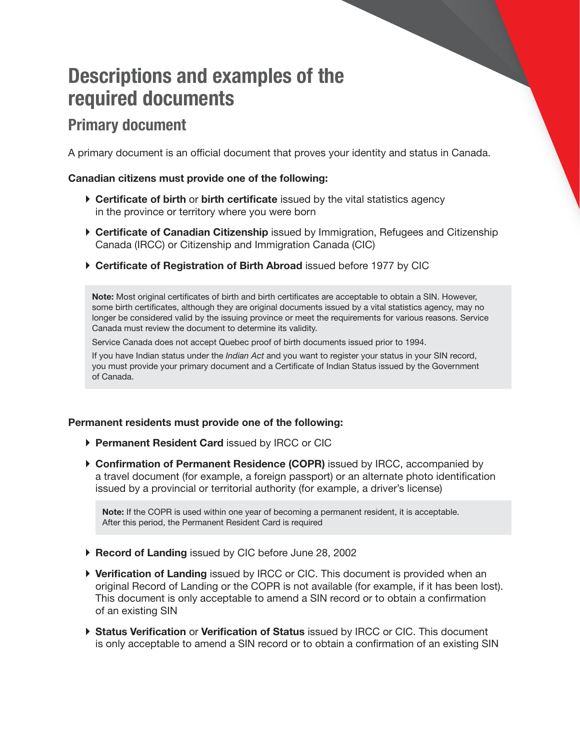# Descriptions and examples of the required documents

# Primary document

A primary document is an official document that proves your identity and status in Canada.

#### Canadian citizens must provide one of the following:

- $\triangleright$  Certificate of birth or birth certificate issued by the vital statistics agency in the province or territory where you were born
- ▶ Certificate of Canadian Citizenship issued by Immigration, Refugees and Citizenship Canada (IRCC) or Citizenship and Immigration Canada (CIC)
- ▶ Certificate of Registration of Birth Abroad issued before 1977 by CIC

Note: Most original certificates of birth and birth certificates are acceptable to obtain a SIN. However, some birth certificates, although they are original documents issued by a vital statistics agency, may no longer be considered valid by the issuing province or meet the requirements for various reasons. Service Canada must review the document to determine its validity.

Service Canada does not accept Quebec proof of birth documents issued prior to 1994.

If you have Indian status under the *Indian Act* and you want to register your status in your SIN record, you must provide your primary document and a Certificate of Indian Status issued by the Government of Canada.

#### Permanent residents must provide one of the following:

- ▶ Permanent Resident Card issued by IRCC or CIC
- ▶ Confirmation of Permanent Residence (COPR) issued by IRCC, accompanied by a travel document (for example, a foreign passport) or an alternate photo identification issued by a provincial or territorial authority (for example, a driver's license)

Note: If the COPR is used within one year of becoming a permanent resident, it is acceptable. After this period, the Permanent Resident Card is required

- ▶ Record of Landing issued by CIC before June 28, 2002
- ▶ Verification of Landing issued by IRCC or CIC. This document is provided when an original Record of Landing or the COPR is not available (for example, if it has been lost). This document is only acceptable to amend a SIN record or to obtain a confirmation of an existing SIN
- ▶ Status Verification or Verification of Status issued by IRCC or CIC. This document is only acceptable to amend a SIN record or to obtain a confirmation of an existing SIN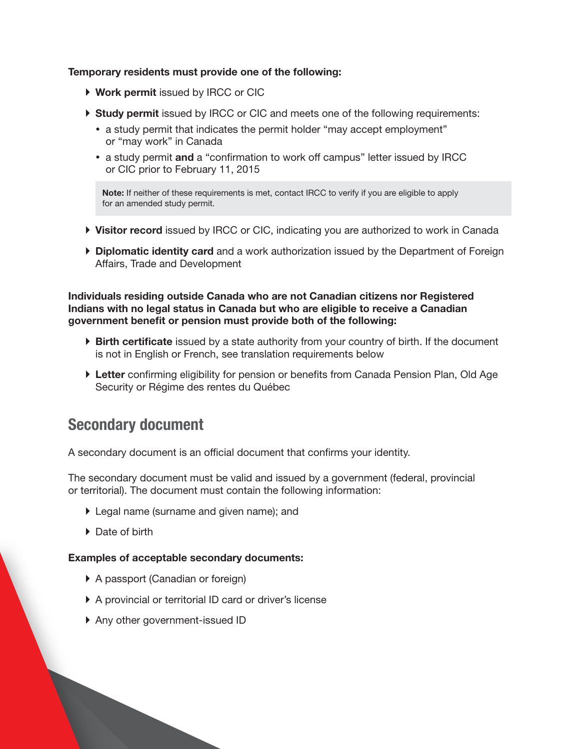#### Temporary residents must provide one of the following:

- ▶ Work permit issued by IRCC or CIC
- ▶ Study permit issued by IRCC or CIC and meets one of the following requirements:
	- a study permit that indicates the permit holder "may accept employment" or "may work" in Canada
	- a study permit and a "confirmation to work off campus" letter issued by IRCC or CIC prior to February 11, 2015

Note: If neither of these requirements is met, contact IRCC to verify if you are eligible to apply for an amended study permit.

- ▶ Visitor record issued by IRCC or CIC, indicating you are authorized to work in Canada
- **Diplomatic identity card** and a work authorization issued by the Department of Foreign Affairs, Trade and Development

#### Individuals residing outside Canada who are not Canadian citizens nor Registered Indians with no legal status in Canada but who are eligible to receive a Canadian government benefit or pension must provide both of the following:

- $\triangleright$  Birth certificate issued by a state authority from your country of birth. If the document is not in English or French, see translation requirements below
- ▶ Letter confirming eligibility for pension or benefits from Canada Pension Plan, Old Age Security or Régime des rentes du Québec

### Secondary document

A secondary document is an official document that confirms your identity.

The secondary document must be valid and issued by a government (federal, provincial or territorial). The document must contain the following information:

- ▶ Legal name (surname and given name); and
- ▶ Date of birth

#### Examples of acceptable secondary documents:

- ▶ A passport (Canadian or foreign)
- } A provincial or territorial ID card or driver's license
- ▶ Any other government-issued ID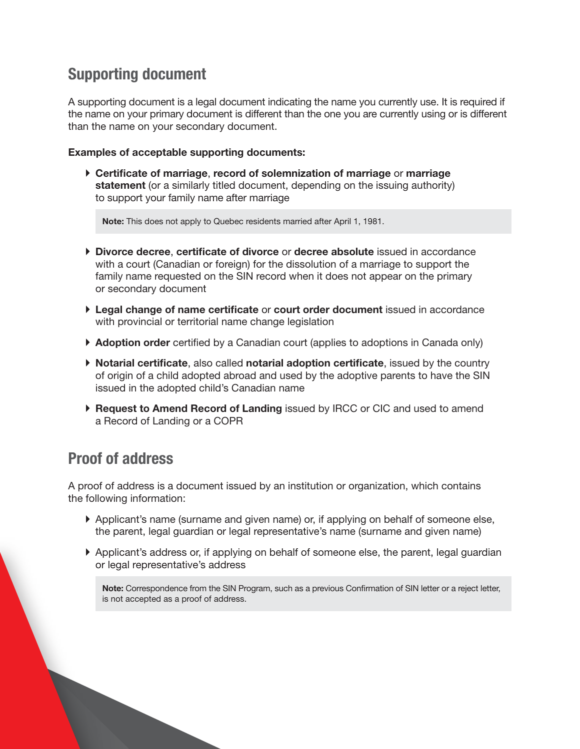# Supporting document

A supporting document is a legal document indicating the name you currently use. It is required if the name on your primary document is different than the one you are currently using or is different than the name on your secondary document.

#### Examples of acceptable supporting documents:

} Certificate of marriage, record of solemnization of marriage or marriage statement (or a similarly titled document, depending on the issuing authority) to support your family name after marriage

Note: This does not apply to Quebec residents married after April 1, 1981.

- } Divorce decree, certificate of divorce or decree absolute issued in accordance with a court (Canadian or foreign) for the dissolution of a marriage to support the family name requested on the SIN record when it does not appear on the primary or secondary document
- } Legal change of name certificate or court order document issued in accordance with provincial or territorial name change legislation
- ▶ Adoption order certified by a Canadian court (applies to adoptions in Canada only)
- } Notarial certificate, also called notarial adoption certificate, issued by the country of origin of a child adopted abroad and used by the adoptive parents to have the SIN issued in the adopted child's Canadian name
- ▶ Request to Amend Record of Landing issued by IRCC or CIC and used to amend a Record of Landing or a COPR

# Proof of address

A proof of address is a document issued by an institution or organization, which contains the following information:

- } Applicant's name (surname and given name) or, if applying on behalf of someone else, the parent, legal guardian or legal representative's name (surname and given name)
- } Applicant's address or, if applying on behalf of someone else, the parent, legal guardian or legal representative's address

Note: Correspondence from the SIN Program, such as a previous Confirmation of SIN letter or a reject letter, is not accepted as a proof of address.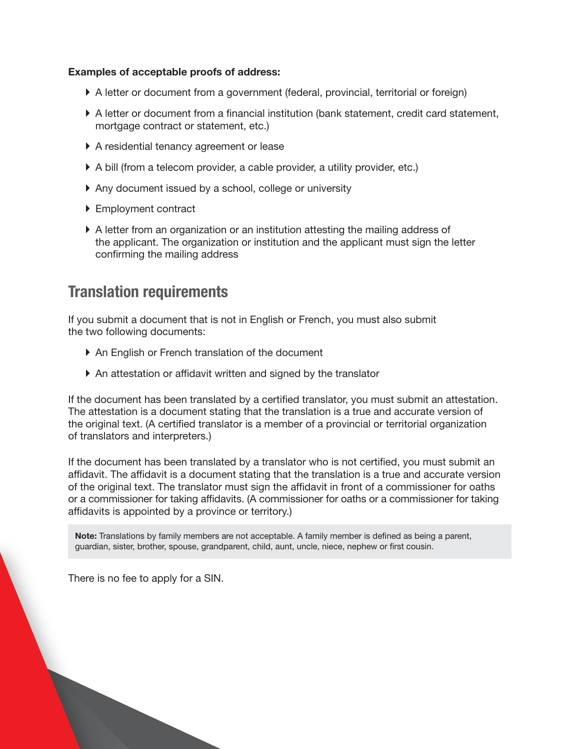#### Examples of acceptable proofs of address:

- } A letter or document from a government (federal, provincial, territorial or foreign)
- } A letter or document from a financial institution (bank statement, credit card statement, mortgage contract or statement, etc.)
- } A residential tenancy agreement or lease
- } A bill (from a telecom provider, a cable provider, a utility provider, etc.)
- } Any document issued by a school, college or university
- ▶ Employment contract
- } A letter from an organization or an institution attesting the mailing address of the applicant. The organization or institution and the applicant must sign the letter confirming the mailing address

### Translation requirements

If you submit a document that is not in English or French, you must also submit the two following documents:

- ▶ An English or French translation of the document
- } An attestation or affidavit written and signed by the translator

If the document has been translated by a certified translator, you must submit an attestation. The attestation is a document stating that the translation is a true and accurate version of the original text. (A certified translator is a member of a provincial or territorial organization of translators and interpreters.)

If the document has been translated by a translator who is not certified, you must submit an affidavit. The affidavit is a document stating that the translation is a true and accurate version of the original text. The translator must sign the affidavit in front of a commissioner for oaths or a commissioner for taking affidavits. (A commissioner for oaths or a commissioner for taking affidavits is appointed by a province or territory.)

Note: Translations by family members are not acceptable. A family member is defined as being a parent, guardian, sister, brother, spouse, grandparent, child, aunt, uncle, niece, nephew or first cousin.

There is no fee to apply for a SIN.